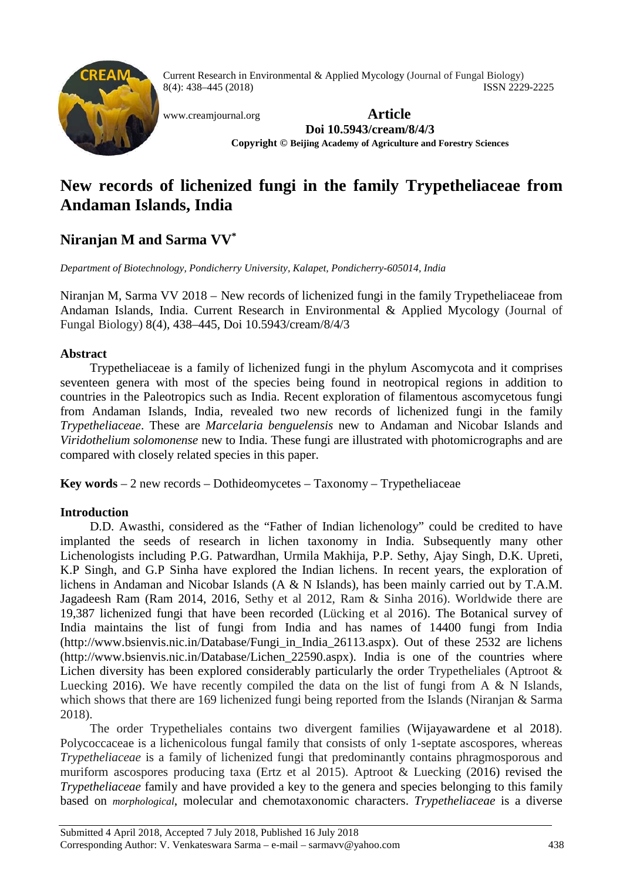

Current Research in Environmental & Applied Mycology (Journal of Fungal Biology) 8(4): 438–445 (2018) ISSN 2229-2225

[www.creamjournal.org](http://www.creamjournal.org/) **Article Doi 10.5943/cream/8/4/3 Copyright © Beijing Academy of Agriculture and Forestry Sciences**

# **New records of lichenized fungi in the family Trypetheliaceae from Andaman Islands, India**

## **Niranjan M and Sarma VV\***

*Department of Biotechnology, Pondicherry University, Kalapet, Pondicherry-605014, India*

Niranjan M, Sarma VV 2018 – New records of lichenized fungi in the family Trypetheliaceae from Andaman Islands, India. Current Research in Environmental & Applied Mycology (Journal of Fungal Biology) 8(4), 438–445, Doi 10.5943/cream/8/4/3

### **Abstract**

Trypetheliaceae is a family of lichenized fungi in the phylum Ascomycota and it comprises seventeen genera with most of the species being found in neotropical regions in addition to countries in the Paleotropics such as India. Recent exploration of filamentous ascomycetous fungi from Andaman Islands, India, revealed two new records of lichenized fungi in the family *Trypetheliaceae*. These are *Marcelaria benguelensis* new to Andaman and Nicobar Islands and *Viridothelium solomonense* new to India. These fungi are illustrated with photomicrographs and are compared with closely related species in this paper.

**Key words** – 2 new records – Dothideomycetes – Taxonomy – Trypetheliaceae

## **Introduction**

D.D. Awasthi, considered as the "Father of Indian lichenology" could be credited to have implanted the seeds of research in lichen taxonomy in India. Subsequently many other Lichenologists including P.G. Patwardhan, Urmila Makhija, P.P. Sethy, Ajay Singh, D.K. Upreti, K.P Singh, and G.P Sinha have explored the Indian lichens. In recent years, the exploration of lichens in Andaman and Nicobar Islands (A & N Islands), has been mainly carried out by T.A.M. Jagadeesh Ram (Ram 2014, 2016, Sethy et al 2012, Ram & Sinha 2016). Worldwide there are 19,387 lichenized fungi that have been recorded (Lücking et al 2016). The Botanical survey of India maintains the list of fungi from India and has names of 14400 fungi from India (http://www.bsienvis.nic.in/Database/Fungi\_in\_India\_26113.aspx). Out of these 2532 are lichens (http://www.bsienvis.nic.in/Database/Lichen\_22590.aspx). India is one of the countries where Lichen diversity has been explored considerably particularly the order Trypetheliales (Aptroot & Luecking 2016). We have recently compiled the data on the list of fungi from A  $\&$  N Islands, which shows that there are 169 lichenized fungi being reported from the Islands (Niranjan & Sarma 2018).

The order Trypetheliales contains two divergent families (Wijayawardene et al 2018). Polycoccaceae is a lichenicolous fungal family that consists of only 1-septate ascospores, whereas *Trypetheliaceae* is a family of lichenized fungi that predominantly contains phragmosporous and muriform ascospores producing taxa (Ertz et al 2015). Aptroot & Luecking (2016) revised the *Trypetheliaceae* family and have provided a key to the genera and species belonging to this family based on *morphological*, molecular and chemotaxonomic characters. *Trypetheliaceae* is a diverse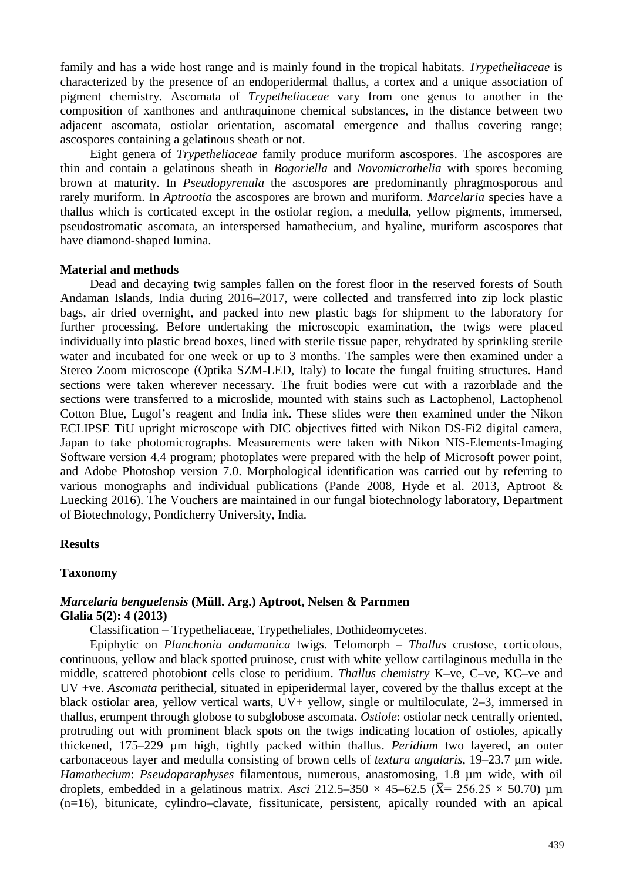family and has a wide host range and is mainly found in the tropical habitats. *Trypetheliaceae* is characterized by the presence of an endoperidermal thallus, a cortex and a unique association of pigment chemistry. Ascomata of *Trypetheliaceae* vary from one genus to another in the composition of xanthones and anthraquinone chemical substances, in the distance between two adjacent ascomata, ostiolar orientation, ascomatal emergence and thallus covering range; ascospores containing a gelatinous sheath or not.

Eight genera of *Trypetheliaceae* family produce muriform ascospores. The ascospores are thin and contain a gelatinous sheath in *Bogoriella* and *Novomicrothelia* with spores becoming brown at maturity. In *Pseudopyrenula* the ascospores are predominantly phragmosporous and rarely muriform. In *Aptrootia* the ascospores are brown and muriform. *Marcelaria* species have a thallus which is corticated except in the ostiolar region, a medulla, yellow pigments, immersed, pseudostromatic ascomata, an interspersed hamathecium, and hyaline, muriform ascospores that have diamond-shaped lumina.

#### **Material and methods**

Dead and decaying twig samples fallen on the forest floor in the reserved forests of South Andaman Islands, India during 2016–2017, were collected and transferred into zip lock plastic bags, air dried overnight, and packed into new plastic bags for shipment to the laboratory for further processing. Before undertaking the microscopic examination, the twigs were placed individually into plastic bread boxes, lined with sterile tissue paper, rehydrated by sprinkling sterile water and incubated for one week or up to 3 months. The samples were then examined under a Stereo Zoom microscope (Optika SZM-LED, Italy) to locate the fungal fruiting structures. Hand sections were taken wherever necessary. The fruit bodies were cut with a razorblade and the sections were transferred to a microslide, mounted with stains such as Lactophenol, Lactophenol Cotton Blue, Lugol's reagent and India ink. These slides were then examined under the Nikon ECLIPSE TiU upright microscope with DIC objectives fitted with Nikon DS-Fi2 digital camera, Japan to take photomicrographs. Measurements were taken with Nikon NIS-Elements-Imaging Software version 4.4 program; photoplates were prepared with the help of Microsoft power point, and Adobe Photoshop version 7.0. Morphological identification was carried out by referring to various monographs and individual publications (Pande 2008, Hyde et al. 2013, Aptroot & Luecking 2016). The Vouchers are maintained in our fungal biotechnology laboratory, Department of Biotechnology, Pondicherry University, India.

#### **Results**

#### **Taxonomy**

#### *Marcelaria benguelensis* **(Müll. Arg.) Aptroot, Nelsen & Parnmen Glalia 5(2): 4 (2013)**

Classification – Trypetheliaceae, Trypetheliales, Dothideomycetes.

Epiphytic on *Planchonia andamanica* twigs. Telomorph – *Thallus* crustose, corticolous, continuous, yellow and black spotted pruinose, crust with white yellow cartilaginous medulla in the middle, scattered photobiont cells close to peridium. *Thallus chemistry* K–ve, C–ve, KC–ve and UV +ve. *Ascomata* perithecial, situated in epiperidermal layer, covered by the thallus except at the black ostiolar area, yellow vertical warts, UV+ yellow, single or multiloculate, 2–3, immersed in thallus, erumpent through globose to subglobose ascomata. *Ostiole*: ostiolar neck centrally oriented, protruding out with prominent black spots on the twigs indicating location of ostioles, apically thickened, 175–229 µm high, tightly packed within thallus. *Peridium* two layered, an outer carbonaceous layer and medulla consisting of brown cells of *textura angularis*, 19–23.7 µm wide. *Hamathecium*: *Pseudoparaphyses* filamentous, numerous, anastomosing, 1.8 µm wide, with oil droplets, embedded in a gelatinous matrix. *Asci* 212.5–350  $\times$  45–62.5 ( $\overline{X}$ = 256.25  $\times$  50.70)  $\mu$ m (n=16), bitunicate, cylindro–clavate, fissitunicate, persistent, apically rounded with an apical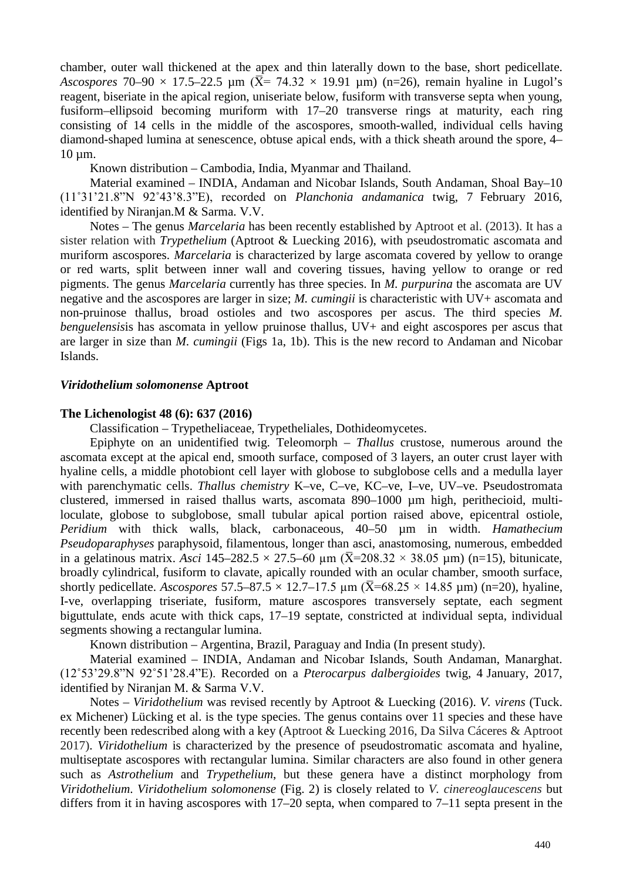chamber, outer wall thickened at the apex and thin laterally down to the base, short pedicellate. *Ascospores* 70–90  $\times$  17.5–22.5 µm ( $\bar{X}$ = 74.32  $\times$  19.91 µm) (n=26), remain hyaline in Lugol's reagent, biseriate in the apical region, uniseriate below, fusiform with transverse septa when young, fusiform–ellipsoid becoming muriform with 17–20 transverse rings at maturity, each ring consisting of 14 cells in the middle of the ascospores, smooth-walled, individual cells having diamond-shaped lumina at senescence, obtuse apical ends, with a thick sheath around the spore, 4– 10 µm.

Known distribution – Cambodia, India, Myanmar and Thailand.

Material examined – INDIA, Andaman and Nicobar Islands, South Andaman, Shoal Bay–10 (11˚31'21.8"N 92˚43'8.3"E), recorded on *Planchonia andamanica* twig, 7 February 2016, identified by Niranjan.M & Sarma. V.V.

Notes – The genus *Marcelaria* has been recently established by Aptroot et al. (2013). It has a sister relation with *Trypethelium* (Aptroot & Luecking 2016), with pseudostromatic ascomata and muriform ascospores. *Marcelaria* is characterized by large ascomata covered by yellow to orange or red warts, split between inner wall and covering tissues, having yellow to orange or red pigments. The genus *Marcelaria* currently has three species. In *M. purpurina* the ascomata are UV negative and the ascospores are larger in size; *M. cumingii* is characteristic with UV+ ascomata and non-pruinose thallus, broad ostioles and two ascospores per ascus. The third species *M. benguelensisis* has ascomata in yellow pruinose thallus, UV+ and eight ascospores per ascus that are larger in size than *M. cumingii* (Figs 1a, 1b). This is the new record to Andaman and Nicobar Islands.

#### *Viridothelium solomonense* **Aptroot**

#### **The Lichenologist 48 (6): 637 (2016)**

Classification – Trypetheliaceae, Trypetheliales, Dothideomycetes.

Epiphyte on an unidentified twig. Teleomorph – *Thallus* crustose, numerous around the ascomata except at the apical end, smooth surface, composed of 3 layers, an outer crust layer with hyaline cells, a middle photobiont cell layer with globose to subglobose cells and a medulla layer with parenchymatic cells. *Thallus chemistry* K–ve, C–ve, KC–ve, I–ve, UV–ve. Pseudostromata clustered, immersed in raised thallus warts, ascomata 890–1000 µm high, perithecioid, multiloculate, globose to subglobose, small tubular apical portion raised above, epicentral ostiole, *Peridium* with thick walls, black, carbonaceous, 40–50 µm in width. *Hamathecium Pseudoparaphyses* paraphysoid, filamentous, longer than asci, anastomosing, numerous, embedded in a gelatinous matrix. *Asci* 145–282.5  $\times$  27.5–60 µm ( $\overline{X}$ =208.32  $\times$  38.05 µm) (n=15), bitunicate, broadly cylindrical, fusiform to clavate, apically rounded with an ocular chamber, smooth surface, shortly pedicellate. *Ascospores* 57.5–87.5  $\times$  12.7–17.5  $\mu$ m ( $\overline{X}$ =68.25  $\times$  14.85  $\mu$ m) (n=20), hyaline, I-ve, overlapping triseriate, fusiform, mature ascospores transversely septate, each segment biguttulate, ends acute with thick caps, 17–19 septate, constricted at individual septa, individual segments showing a rectangular lumina.

Known distribution – Argentina, Brazil, Paraguay and India (In present study).

Material examined – INDIA, Andaman and Nicobar Islands, South Andaman, Manarghat. (12˚53'29.8"N 92˚51'28.4"E). Recorded on a *Pterocarpus dalbergioides* twig, 4 January, 2017, identified by Niranjan M. & Sarma V.V.

Notes – *Viridothelium* was revised recently by Aptroot & Luecking (2016). *V. virens* (Tuck. ex Michener) Lücking et al. is the type species. The genus contains over 11 species and these have recently been redescribed along with a key (Aptroot & Luecking 2016, Da Silva Cáceres & Aptroot 2017). *Viridothelium* is characterized by the presence of pseudostromatic ascomata and hyaline, multiseptate ascospores with rectangular lumina. Similar characters are also found in other genera such as *Astrothelium* and *Trypethelium*, but these genera have a distinct morphology from *Viridothelium*. *Viridothelium solomonense* (Fig. 2) is closely related to *V. cinereoglaucescens* but differs from it in having ascospores with 17–20 septa, when compared to 7–11 septa present in the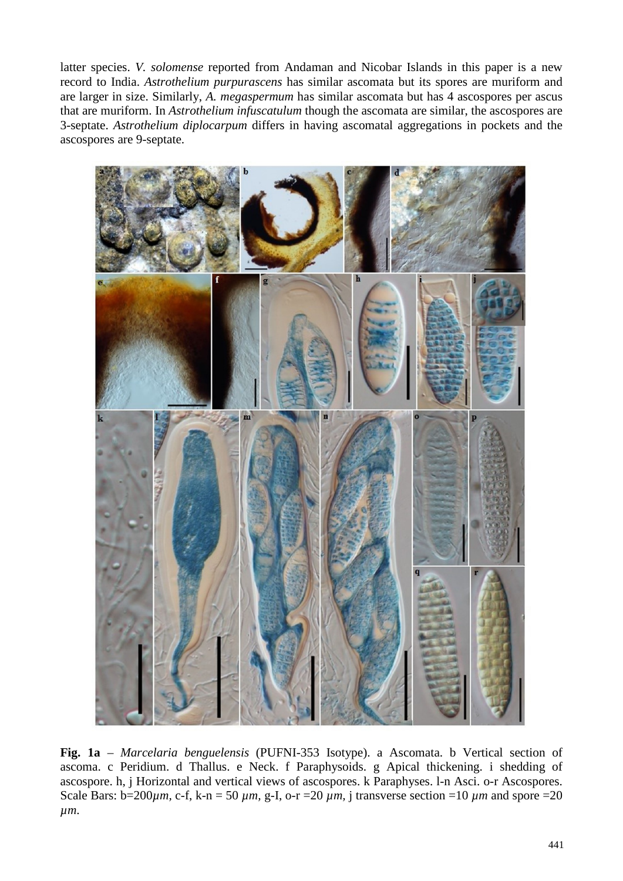latter species. *V. solomense* reported from Andaman and Nicobar Islands in this paper is a new record to India. *Astrothelium purpurascens* has similar ascomata but its spores are muriform and are larger in size. Similarly, *A. megaspermum* has similar ascomata but has 4 ascospores per ascus that are muriform. In *Astrothelium infuscatulum* though the ascomata are similar, the ascospores are 3-septate. *Astrothelium diplocarpum* differs in having ascomatal aggregations in pockets and the ascospores are 9-septate.



**Fig. 1a** – *Marcelaria benguelensis* (PUFNI-353 Isotype). a Ascomata. b Vertical section of ascoma. c Peridium. d Thallus. e Neck. f Paraphysoids. g Apical thickening. i shedding of ascospore. h, j Horizontal and vertical views of ascospores. k Paraphyses. l-n Asci. o-r Ascospores. Scale Bars:  $b=200 \mu m$ , c-f, k-n = 50  $\mu m$ , g-I, o-r = 20  $\mu m$ , *j* transverse section = 10  $\mu m$  and spore = 20 *µm*.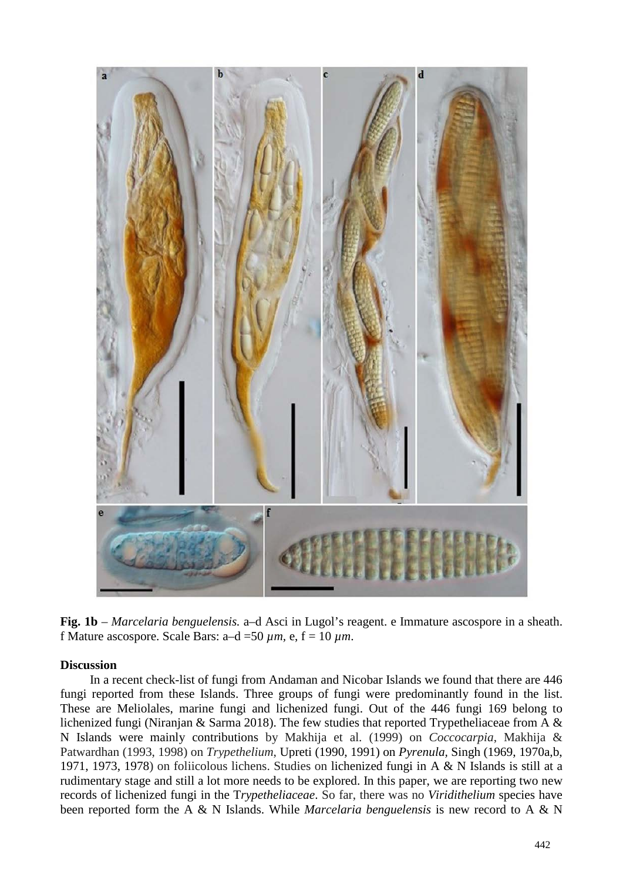

**Fig. 1b** – *Marcelaria benguelensis.* a–d Asci in Lugol's reagent. e Immature ascospore in a sheath. f Mature ascospore. Scale Bars:  $a-d = 50 \text{ µm}$ , e,  $f = 10 \text{ µm}$ .

#### **Discussion**

In a recent check-list of fungi from Andaman and Nicobar Islands we found that there are 446 fungi reported from these Islands. Three groups of fungi were predominantly found in the list. These are Meliolales, marine fungi and lichenized fungi. Out of the 446 fungi 169 belong to lichenized fungi (Niranjan & Sarma 2018). The few studies that reported Trypetheliaceae from A & N Islands were mainly contributions by Makhija et al. (1999) on *Coccocarpia*, Makhija & Patwardhan (1993, 1998) on *Trypethelium*, Upreti (1990, 1991) on *Pyrenula,* Singh (1969, 1970a,b, 1971, 1973, 1978) on foliicolous lichens. Studies on lichenized fungi in A & N Islands is still at a rudimentary stage and still a lot more needs to be explored. In this paper, we are reporting two new records of lichenized fungi in the T*rypetheliaceae*. So far, there was no *Viridithelium* species have been reported form the A & N Islands. While *Marcelaria benguelensis* is new record to A & N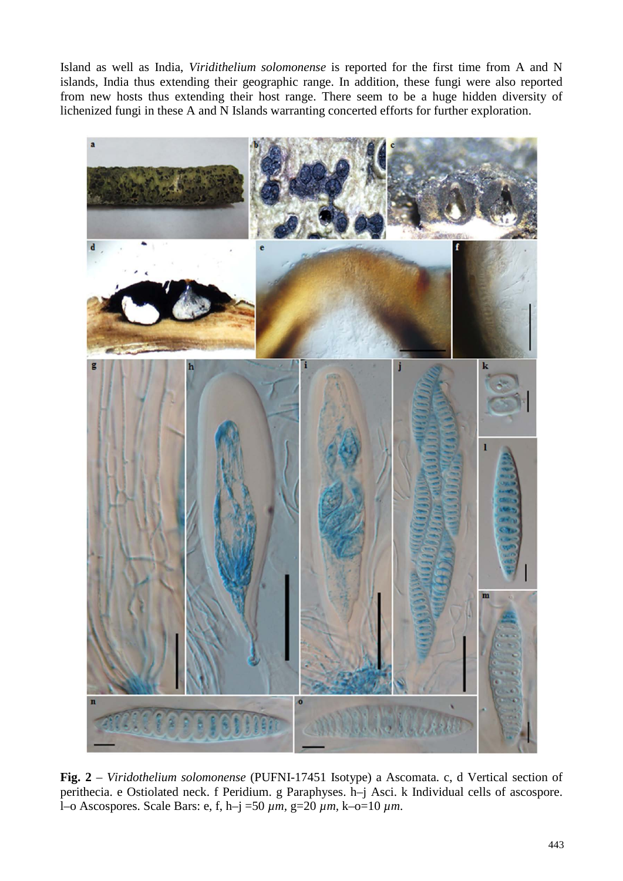Island as well as India, *Viridithelium solomonense* is reported for the first time from A and N islands, India thus extending their geographic range. In addition, these fungi were also reported from new hosts thus extending their host range. There seem to be a huge hidden diversity of lichenized fungi in these A and N Islands warranting concerted efforts for further exploration.



**Fig. 2** – *Viridothelium solomonense* (PUFNI-17451 Isotype) a Ascomata. c, d Vertical section of perithecia. e Ostiolated neck. f Peridium. g Paraphyses. h–j Asci. k Individual cells of ascospore. l–o Ascospores. Scale Bars: e, f, h–j =50 *µm,* g=20 *µm,* k–o=10 *µm*.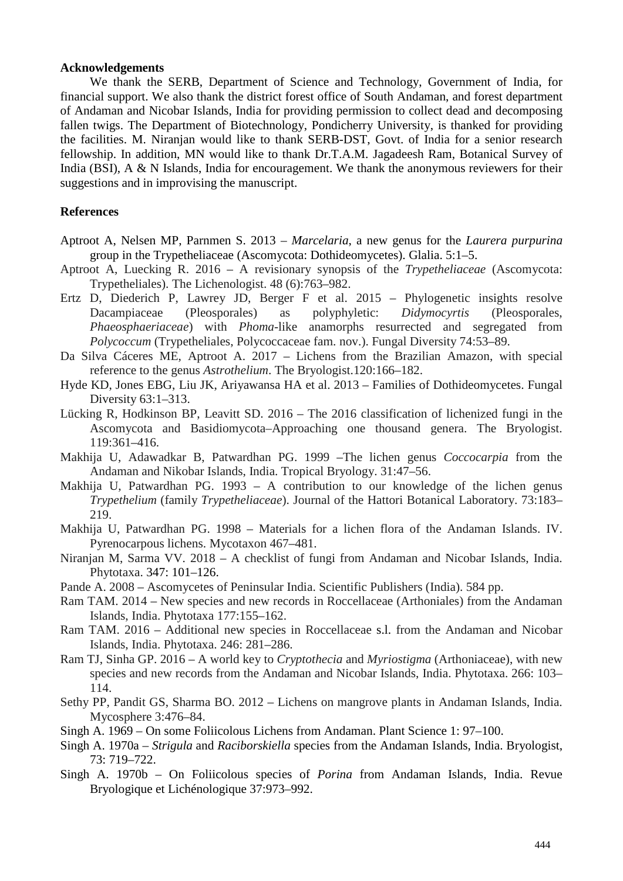#### **Acknowledgements**

We thank the SERB, Department of Science and Technology, Government of India, for financial support. We also thank the district forest office of South Andaman, and forest department of Andaman and Nicobar Islands, India for providing permission to collect dead and decomposing fallen twigs. The Department of Biotechnology, Pondicherry University, is thanked for providing the facilities. M. Niranjan would like to thank SERB-DST, Govt. of India for a senior research fellowship. In addition, MN would like to thank Dr.T.A.M. Jagadeesh Ram, Botanical Survey of India (BSI), A & N Islands, India for encouragement. We thank the anonymous reviewers for their suggestions and in improvising the manuscript.

#### **References**

- Aptroot A, Nelsen MP, Parnmen S. 2013 *Marcelaria*, a new genus for the *Laurera purpurina* group in the Trypetheliaceae (Ascomycota: Dothideomycetes). Glalia. 5:1–5.
- Aptroot A, Luecking R. 2016 A revisionary synopsis of the *Trypetheliaceae* (Ascomycota: Trypetheliales). The Lichenologist. 48 (6):763–982.
- Ertz D, Diederich P, Lawrey JD, Berger F et al. 2015 Phylogenetic insights resolve Dacampiaceae (Pleosporales) as polyphyletic: *Didymocyrtis* (Pleosporales, *Phaeosphaeriaceae*) with *Phoma*-like anamorphs resurrected and segregated from *Polycoccum* (Trypetheliales, Polycoccaceae fam. nov.). Fungal Diversity 74:53–89.
- Da Silva Cáceres ME, Aptroot A. 2017 Lichens from the Brazilian Amazon, with special reference to the genus *Astrothelium*. The Bryologist.120:166–182.
- Hyde KD, Jones EBG, Liu JK, Ariyawansa HA et al. 2013 Families of Dothideomycetes. Fungal Diversity 63:1–313.
- Lücking R, Hodkinson BP, Leavitt SD. 2016 The 2016 classification of lichenized fungi in the Ascomycota and Basidiomycota–Approaching one thousand genera. The Bryologist. 119:361–416.
- Makhija U, Adawadkar B, Patwardhan PG. 1999 –The lichen genus *Coccocarpia* from the Andaman and Nikobar Islands, India. Tropical Bryology. 31:47–56.
- Makhija U, Patwardhan PG. 1993 A contribution to our knowledge of the lichen genus *Trypethelium* (family *Trypetheliaceae*). Journal of the Hattori Botanical Laboratory. 73:183– 219.
- Makhija U, Patwardhan PG. 1998 Materials for a lichen flora of the Andaman Islands. IV. Pyrenocarpous lichens. Mycotaxon 467–481.
- Niranjan M, Sarma VV. 2018 A checklist of fungi from Andaman and Nicobar Islands, India. Phytotaxa. 347: 101–126.
- Pande A. 2008 Ascomycetes of Peninsular India. Scientific Publishers (India). 584 pp.
- Ram TAM. 2014 New species and new records in Roccellaceae (Arthoniales) from the Andaman Islands, India. Phytotaxa 177:155–162.
- Ram TAM. 2016 Additional new species in Roccellaceae s.l. from the Andaman and Nicobar Islands, India. Phytotaxa. 246: 281–286.
- Ram TJ, Sinha GP. 2016 A world key to *Cryptothecia* and *Myriostigma* (Arthoniaceae), with new species and new records from the Andaman and Nicobar Islands, India. Phytotaxa. 266: 103– 114.
- Sethy PP, Pandit GS, Sharma BO. 2012 Lichens on mangrove plants in Andaman Islands, India. Mycosphere 3:476–84.
- Singh A. 1969 On some Foliicolous Lichens from Andaman. Plant Science 1: 97–100.
- Singh A. 1970a *Strigula* and *Raciborskiella* species from the Andaman Islands, India. Bryologist, 73: 719–722.
- Singh A. 1970b On Foliicolous species of *Porina* from Andaman Islands, India. Revue Bryologique et Lichénologique 37:973–992.